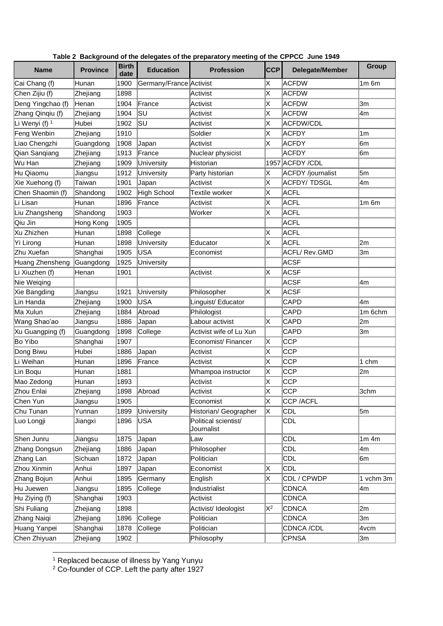|                   |                 |                      |                         | o acioga.co ci o proparatory oog cr o |            |                      |              |
|-------------------|-----------------|----------------------|-------------------------|---------------------------------------|------------|----------------------|--------------|
| <b>Name</b>       | <b>Province</b> | <b>Birth</b><br>date | <b>Education</b>        | <b>Profession</b>                     | <b>CCP</b> | Delegate/Member      | <b>Group</b> |
| Cai Chang (f)     | Hunan           | 1900                 | Germany/France Activist |                                       | Χ          | <b>ACFDW</b>         | $1m$ 6 $m$   |
| Chen Zijiu (f)    | Zhejiang        | 1898                 |                         | Activist                              | Χ          | <b>ACFDW</b>         |              |
| Deng Yingchao (f) | Henan           | 1904                 | France                  | Activist                              | Χ          | <b>ACFDW</b>         | 3m           |
| Zhang Qinqiu (f)  | Zhejiang        | 1904                 | SU                      | Activist                              | X          | ACFDW                | 4m           |
| Li Wenyi (f) 1    | Hubei           | 1902                 | lsu                     | Activist                              | X          | <b>ACFDW/CDL</b>     |              |
| Feng Wenbin       | Zhejiang        | 1910                 |                         | Soldier                               | X          | ACFDY                | 1m           |
| Liao Chengzhi     | Guangdong       | 1908                 | Japan                   | Activist                              | ΙX         | <b>ACFDY</b>         | l6m          |
| Qian Sangiang     | Zhejiang        | 1913                 | France                  | Nuclear physicist                     |            | <b>ACFDY</b>         | 6m           |
| Wu Han            | Zhejiang        | 1909                 | University              | Historian                             |            | 1957 ACFDY / CDL     |              |
| Hu Qiaomu         | Jiangsu         | 1912                 | University              | Party historian                       | Χ          | ACFDY /journalist    | 5m           |
| Xie Xuehong (f)   | Taiwan          | 1901                 | Japan                   | Activist                              | ΙX         | <b>ACFDY/TDSGL</b>   | 4m           |
| Chen Shaomin (f)  | Shandong        | 1902                 | <b>High School</b>      | Textile worker                        | Χ          | <b>ACFL</b>          |              |
| Li Lisan          | Hunan           | 1896                 | France                  | Activist                              | X          | <b>ACFL</b>          | $1m$ 6 $m$   |
| Liu Zhangsheng    | Shandong        | 1903                 |                         | Worker                                | X.         | ACFL                 |              |
| Qiu Jin           | Hong Kong       | 1905                 |                         |                                       |            | <b>ACFL</b>          |              |
| Xu Zhizhen        | Hunan           | 1898                 | College                 |                                       | X          | <b>ACFL</b>          |              |
| Yi Lirong         | Hunan           | 1898                 | University              | Educator                              | X          | ACFL                 | 2m           |
| Zhu Xuefan        | Shanghai        | 1905                 | <b>USA</b>              | Economist                             |            | <b>ACFL/ Rev.GMD</b> | 3m           |
| Huang Zhensheng   | Guangdong       | 1925                 | University              |                                       |            | <b>ACSF</b>          |              |
| Li Xiuzhen (f)    | Henan           | 1901                 |                         | Activist                              | Χ          | <b>ACSF</b>          |              |
| Nie Weiqing       |                 |                      |                         |                                       |            | <b>ACSF</b>          | 4m           |
| Xie Bangding      | Jiangsu         | 1921                 | University              | Philosopher                           | ΙX.        | ACSF                 |              |
| Lin Handa         | Zhejiang        | 1900                 | <b>USA</b>              | Linguist/ Educator                    |            | <b>CAPD</b>          | l4m          |
| Ma Xulun          | Zhejiang        | 1884                 | Abroad                  | Philologist                           |            | <b>CAPD</b>          | 1m 6chm      |
| Wang Shao'ao      | Jiangsu         | 1886                 | Japan                   | Labour activist                       | ΙX         | <b>CAPD</b>          | 2m           |
| Xu Guangping (f)  | Guangdong       | 1898                 | College                 | Activist wife of Lu Xun               |            | <b>CAPD</b>          | 3m           |
| Bo Yibo           | Shanghai        | 1907                 |                         | Economist/Financer                    | Χ          | <b>CCP</b>           |              |
| Dong Biwu         | Hubei           | 1886                 | Japan                   | Activist                              | X          | <b>CCP</b>           |              |
| Li Weihan         | Hunan           | 1896                 | France                  | Activist                              | ΙX         | <b>CCP</b>           | 1 chm        |
| Lin Boqu          | Hunan           | 1881                 |                         | Whampoa instructor                    | Χ          | CCP                  | 2m           |
| Mao Zedong        | Hunan           | 1893                 |                         | Activist                              | X          | CCP                  |              |
| Zhou Enlai        | Zhejiang        |                      | 1898 Abroad             | Activist                              | lv<br>lv.  | CCP                  | 3chm         |
| Chen Yun          | Jiangsu         | 1905                 |                         | Economist                             | IХ.        | CCP /ACFL            |              |
| Chu Tunan         | Yunnan          | 1899                 | University              | Historian/ Geographer                 | X          | <b>CDL</b>           | 5m           |
| Luo Longji        | Jiangxi         | 1896                 | USA                     | Political scientist/<br>Journalist    |            | CDL                  |              |
| Shen Junru        | Jiangsu         | 1875                 | Japan                   | Law                                   |            | CDL                  | $1m$ 4 $m$   |
| Zhang Dongsun     | Zhejiang        | 1886                 | Japan                   | Philosopher                           |            | <b>CDL</b>           | 4m           |
| Zhang Lan         | Sichuan         | 1872                 | Japan                   | Politician                            |            | <b>CDL</b>           | 6m           |
| Zhou Xinmin       | Anhui           | 1897                 | Japan                   | Economist                             | X          | CDL                  |              |
| Zhang Bojun       | Anhui           | 1895                 | Germany                 | English                               | X          | CDL / CPWDP          | 1 vchm 3m    |
| Hu Juewen         | Jiangsu         | 1895                 | College                 | Industrialist                         |            | <b>CDNCA</b>         | 4m           |
| Hu Ziying (f)     | Shanghai        | 1903                 |                         | Activist                              |            | <b>CDNCA</b>         |              |
| Shi Fuliang       | Zhejiang        | 1898                 |                         | Activist/ Ideologist                  | $X^2$      | <b>CDNCA</b>         | 2m           |
| Zhang Naiqi       | Zhejiang        | 1896                 | College                 | Politician                            |            | <b>CDNCA</b>         | 3m           |
| Huang Yanpei      | Shanghai        | 1878                 | College                 | Politician                            |            | CDNCA /CDL           | 4vcm         |
| Chen Zhiyuan      | Zhejiang        | 1902                 |                         | Philosophy                            |            | <b>CPNSA</b>         | 3m           |
|                   |                 |                      |                         |                                       |            |                      |              |

## **Table 2 Background of the delegates of the preparatory meeting of the CPPCC June 1949**

<sup>&</sup>lt;sup>1</sup> Replaced because of illness by Yang Yunyu

 $2$  Co-founder of CCP. Left the party after 1927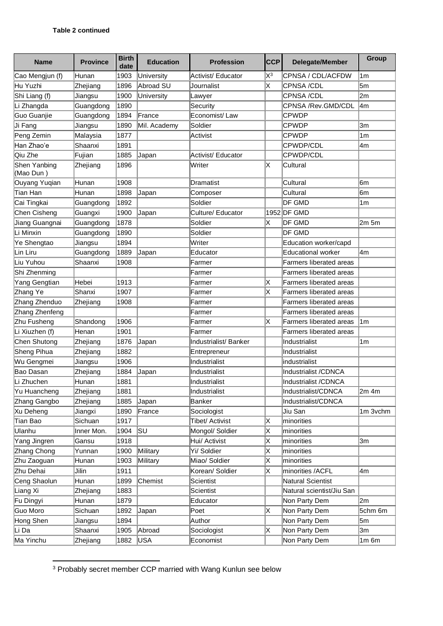| <b>Name</b>               | <b>Province</b> | <b>Birth</b><br>date | <b>Education</b> | <b>Profession</b>     | <b>CCP</b> | Delegate/Member                | Group            |
|---------------------------|-----------------|----------------------|------------------|-----------------------|------------|--------------------------------|------------------|
| Cao Mengjun (f)           | Hunan           | 1903                 | University       | Activist/ Educator    | $X^3$      | CPNSA / CDL/ACFDW              | 1 <sub>m</sub>   |
| Hu Yuzhi                  | Zhejiang        | 1896                 | Abroad SU        | Journalist            | X          | CPNSA /CDL                     | 5m               |
| Shi Liang (f)             | Jiangsu         | 1900                 | University       | Lawyer                |            | CPNSA /CDL                     | 2m               |
| Li Zhangda                | Guangdong       | 1890                 |                  | Security              |            | CPNSA /Rev.GMD/CDL             | l4m              |
| Guo Guanjie               | Guangdong       | 1894                 | <b>France</b>    | Economist/Law         |            | <b>CPWDP</b>                   |                  |
| Ji Fang                   | Jiangsu         | 1890                 | Mil. Academy     | Soldier               |            | <b>CPWDP</b>                   | 3m               |
| Peng Zemin                | Malaysia        | 1877                 |                  | Activist              |            | <b>CPWDP</b>                   | 1 <sub>m</sub>   |
| Han Zhao'e                | Shaanxi         | 1891                 |                  |                       |            | CPWDP/CDL                      | 4m               |
| Qiu Zhe                   | Fujian          | 1885                 | Japan            | Activist/ Educator    |            | CPWDP/CDL                      |                  |
| Shen Yanbing<br>(Mao Dun) | Zhejiang        | 1896                 |                  | Writer                | ΙX         | Cultural                       |                  |
| Ouyang Yuqian             | Hunan           | 1908                 |                  | Dramatist             |            | Cultural                       | 6m               |
| <b>Tian Han</b>           | Hunan           | 1898                 | Japan            | Composer              |            | Cultural                       | 6m               |
| Cai Tingkai               | Guangdong       | 1892                 |                  | Soldier               |            | DF GMD                         | 1m               |
| Chen Cisheng              | Guangxi         | 1900                 | Japan            | Culture/ Educator     |            | 1952 DF GMD                    |                  |
| Jiang Guangnai            | Guangdong       | 1878                 |                  | Soldier               | X          | DF GMD                         | 2m <sub>5m</sub> |
| Li Minxin                 | Guangdong       | 1890                 |                  | Soldier               |            | DF GMD                         |                  |
| Ye Shengtao               | Jiangsu         | 1894                 |                  | Writer                |            | Education worker/capd          |                  |
| Lin Liru                  | Guangdong       | 1889                 | Japan            | Educator              |            | <b>Educational worker</b>      | 4m               |
| Liu Yuhou                 | Shaanxi         | 1908                 |                  | Farmer                |            | <b>Farmers liberated areas</b> |                  |
| Shi Zhenming              |                 |                      |                  | Farmer                |            | <b>Farmers liberated areas</b> |                  |
| Yang Gengtian             | Hebei           | 1913                 |                  | Farmer                | ΙX         | <b>Farmers liberated areas</b> |                  |
| Zhang Ye                  | Shanxi          | 1907                 |                  | Farmer                | X          | Farmers liberated areas        |                  |
| Zhang Zhenduo             | Zhejiang        | 1908                 |                  | Farmer                |            | <b>Farmers liberated areas</b> |                  |
| Zhang Zhenfeng            |                 |                      |                  | Farmer                |            | <b>Farmers liberated areas</b> |                  |
| Zhu Fusheng               | Shandong        | 1906                 |                  | Farmer                | IX.        | <b>Farmers liberated areas</b> | 1 <sub>m</sub>   |
| Li Xiuzhen (f)            | Henan           | 1901                 |                  | Farmer                |            | <b>Farmers liberated areas</b> |                  |
| Chen Shutong              | Zhejiang        | 1876                 | Japan            | Industrialist/ Banker |            | Industrialist                  | 1 <sub>m</sub>   |
| Sheng Pihua               | Zhejiang        | 1882                 |                  | Entrepreneur          |            | Industrialist                  |                  |
| Wu Gengmei                | Jiangsu         | 1906                 |                  | Industrialist         |            | industrialist                  |                  |
| Bao Dasan                 | Zhejiang        | 1884                 | Japan            | Industrialist         |            | Industrialist /CDNCA           |                  |
| Li Zhuchen                | Hunan           | 1881                 |                  | Industrialist         |            | Industrialist /CDNCA           |                  |
| Yu Huancheng              | Zhejiang        | 1881                 |                  | Industrialist         |            | Industrialist/CDNCA            | $2m$ 4m          |
| Zhang Gangbo              | Zhejiang        | 1885                 | Japan            | Banker                |            | Industrialist/CDNCA            |                  |
| Xu Deheng                 | Jiangxi         | 1890                 | France           | Sociologist           |            | Jiu San                        | 1m 3vchm         |
| Tian Bao                  | Sichuan         | 1917                 |                  | Tibet/ Activist       | Χ          | minorities                     |                  |
| Ulanhu                    | Inner Mon.      | 1904                 | lsu              | Mongol/ Soldier       | Χ          | minorities                     |                  |
| Yang Jingren              | Gansu           | 1918                 |                  | Hui/ Activist         | Χ          | minorities                     | 3m               |
| Zhang Chong               | Yunnan          | 1900                 | Military         | Yi/ Soldier           | X          | minorities                     |                  |
| Zhu Zaoguan               | Hunan           | 1903                 | Military         | Miao/ Soldier         | Χ          | minorities                     |                  |
| Zhu Dehai                 | Jilin           | 1911                 |                  | Korean/ Soldier       | X          | minorities /ACFL               | 4m               |
| Ceng Shaolun              | Hunan           | 1899                 | Chemist          | <b>Scientist</b>      |            | Natural Scientist              |                  |
| Liang Xi                  | Zhejiang        | 1883                 |                  | Scientist             |            | Natural scientist/Jiu San      |                  |
| Fu Dingyi                 | Hunan           | 1879                 |                  | Educator              |            | Non Party Dem                  | 2m               |
| Guo Moro                  | Sichuan         | 1892                 | Japan            | Poet                  | X          | Non Party Dem                  | 5chm 6m          |
| Hong Shen                 | Jiangsu         | 1894                 |                  | Author                |            | Non Party Dem                  | 5m               |
| Li Da                     | Shaanxi         | 1905                 | Abroad           | Sociologist           | X          | Non Party Dem                  | 3m               |
| Ma Yinchu                 | Zhejiang        | 1882                 | USA              | Economist             |            | Non Party Dem                  | $1m$ 6 $m$       |

<sup>&</sup>lt;sup>3</sup> Probably secret member CCP married with Wang Kunlun see below